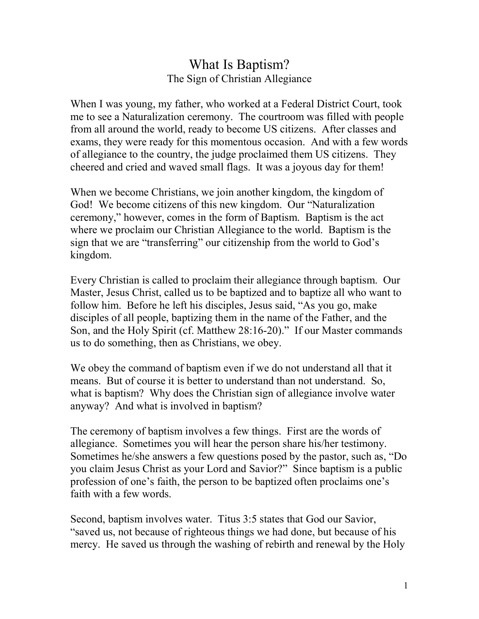## What Is Baptism? The Sign of Christian Allegiance

When I was young, my father, who worked at a Federal District Court, took me to see a Naturalization ceremony. The courtroom was filled with people from all around the world, ready to become US citizens. After classes and exams, they were ready for this momentous occasion. And with a few words of allegiance to the country, the judge proclaimed them US citizens. They cheered and cried and waved small flags. It was a joyous day for them!

When we become Christians, we join another kingdom, the kingdom of God! We become citizens of this new kingdom. Our "Naturalization ceremony," however, comes in the form of Baptism. Baptism is the act where we proclaim our Christian Allegiance to the world. Baptism is the sign that we are "transferring" our citizenship from the world to God's kingdom.

Every Christian is called to proclaim their allegiance through baptism. Our Master, Jesus Christ, called us to be baptized and to baptize all who want to follow him. Before he left his disciples, Jesus said, "As you go, make disciples of all people, baptizing them in the name of the Father, and the Son, and the Holy Spirit (cf. Matthew 28:16-20)." If our Master commands us to do something, then as Christians, we obey.

We obey the command of baptism even if we do not understand all that it means. But of course it is better to understand than not understand. So, what is baptism? Why does the Christian sign of allegiance involve water anyway? And what is involved in baptism?

The ceremony of baptism involves a few things. First are the words of allegiance. Sometimes you will hear the person share his/her testimony. Sometimes he/she answers a few questions posed by the pastor, such as, "Do you claim Jesus Christ as your Lord and Savior?" Since baptism is a public profession of one's faith, the person to be baptized often proclaims one's faith with a few words.

Second, baptism involves water. Titus 3:5 states that God our Savior, "saved us, not because of righteous things we had done, but because of his mercy. He saved us through the washing of rebirth and renewal by the Holy